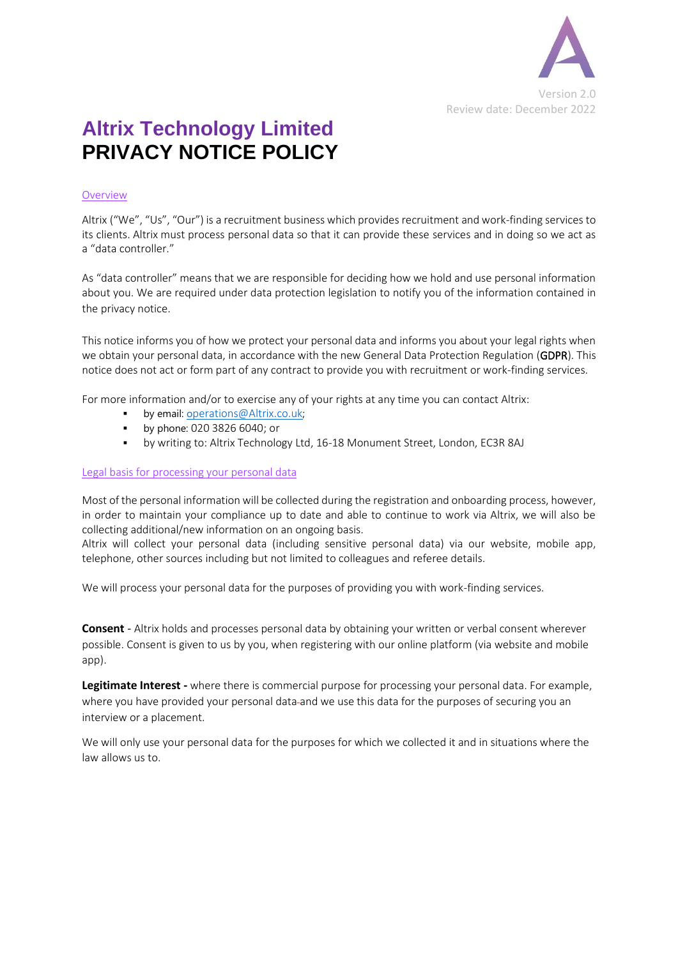

# **Altrix Technology Limited PRIVACY NOTICE POLICY**

### Overview

Altrix ("We", "Us", "Our") is a recruitment business which provides recruitment and work-finding services to its clients. Altrix must process personal data so that it can provide these services and in doing so we act as a "data controller."

As "data controller" means that we are responsible for deciding how we hold and use personal information about you. We are required under data protection legislation to notify you of the information contained in the privacy notice.

This notice informs you of how we protect your personal data and informs you about your legal rights when we obtain your personal data, in accordance with the new General Data Protection Regulation (GDPR). This notice does not act or form part of any contract to provide you with recruitment or work-finding services.

For more information and/or to exercise any of your rights at any time you can contact Altrix:

- by email: [o](mailto:operations@Altrix.co.uk)[perations@Altrix.co.uk](mailto:operations@Altrix.co.uk);
- by phone: 020 3826 6040; or
- by writing to: Altrix Technology Ltd, 16-18 Monument Street, London, EC3R 8AJ

#### Legal basis for processing your personal data

Most of the personal information will be collected during the registration and onboarding process, however, in order to maintain your compliance up to date and able to continue to work via Altrix, we will also be collecting additional/new information on an ongoing basis.

Altrix will collect your personal data (including sensitive personal data) via our website, mobile app, telephone, other sources including but not limited to colleagues and referee details.

We will process your personal data for the purposes of providing you with work-finding services.

**Consent** - Altrix holds and processes personal data by obtaining your written or verbal consent wherever possible. Consent is given to us by you, when registering with our online platform (via website and mobile app).

**Legitimate Interest -** where there is commercial purpose for processing your personal data. For example, where you have provided your personal data-and we use this data for the purposes of securing you an interview or a placement.

We will only use your personal data for the purposes for which we collected it and in situations where the law allows us to.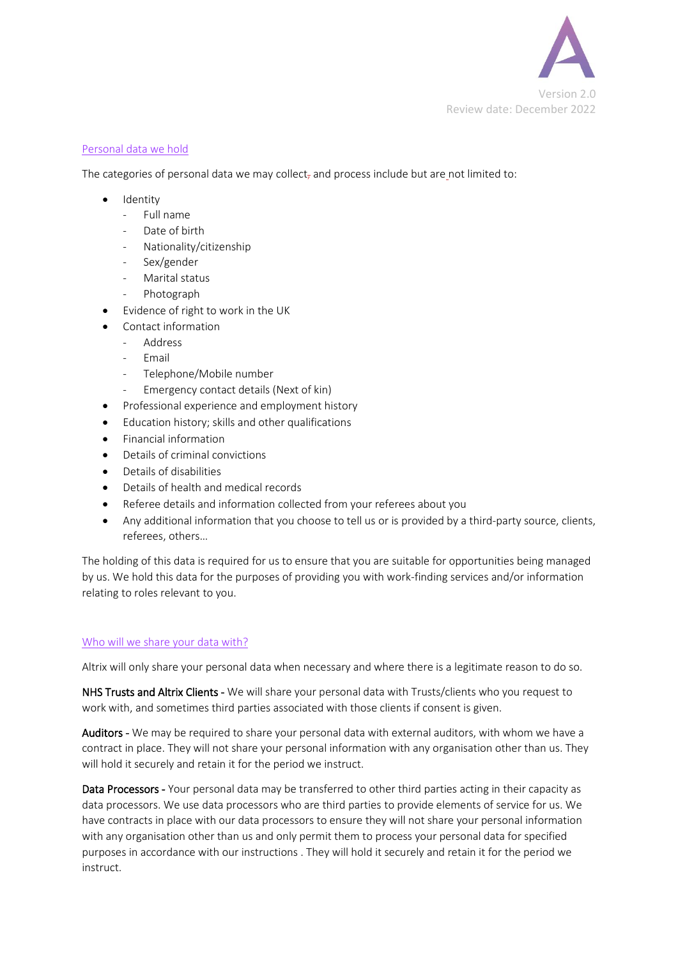

### Personal data we hold

The categories of personal data we may collect, and process include but are not limited to:

- Identity
	- Full name
	- Date of birth
	- Nationality/citizenship
	- Sex/gender
	- Marital status
	- Photograph
- Evidence of right to work in the UK
- Contact information
	- **Address**
	- Email
	- Telephone/Mobile number
	- Emergency contact details (Next of kin)
- Professional experience and employment history
- Education history; skills and other qualifications
- Financial information
- Details of criminal convictions
- Details of disabilities
- Details of health and medical records
- Referee details and information collected from your referees about you
- Any additional information that you choose to tell us or is provided by a third-party source, clients, referees, others…

The holding of this data is required for us to ensure that you are suitable for opportunities being managed by us. We hold this data for the purposes of providing you with work-finding services and/or information relating to roles relevant to you.

#### Who will we share your data with?

Altrix will only share your personal data when necessary and where there is a legitimate reason to do so.

NHS Trusts and Altrix Clients - We will share your personal data with Trusts/clients who you request to work with, and sometimes third parties associated with those clients if consent is given.

Auditors - We may be required to share your personal data with external auditors, with whom we have a contract in place. They will not share your personal information with any organisation other than us. They will hold it securely and retain it for the period we instruct.

Data Processors - Your personal data may be transferred to other third parties acting in their capacity as data processors. We use data processors who are third parties to provide elements of service for us. We have contracts in place with our data processors to ensure they will not share your personal information with any organisation other than us and only permit them to process your personal data for specified purposes in accordance with our instructions . They will hold it securely and retain it for the period we instruct.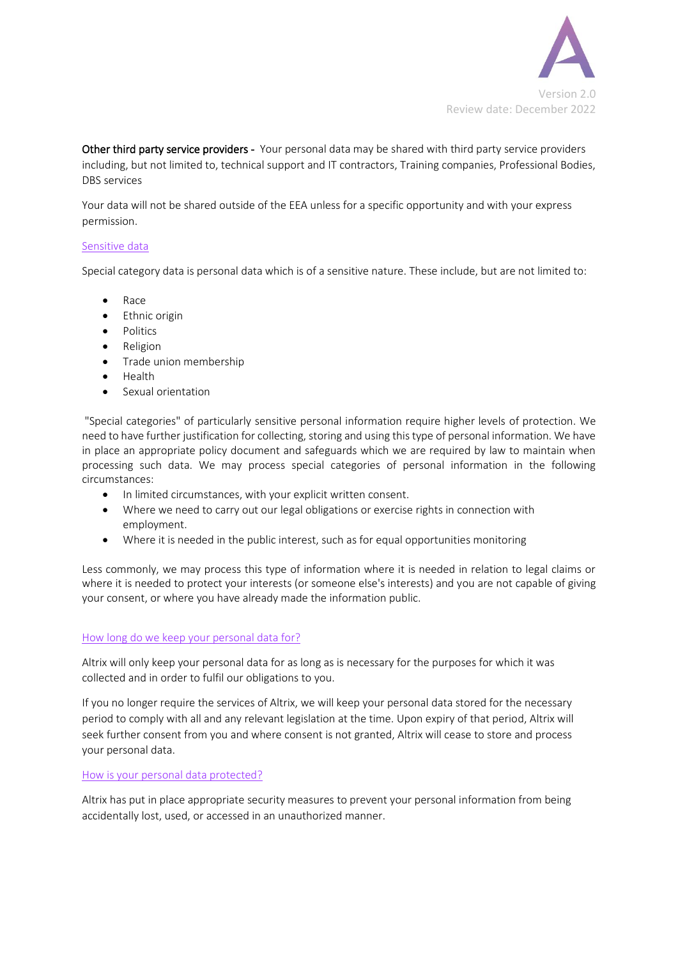

Other third party service providers - Your personal data may be shared with third party service providers including, but not limited to, technical support and IT contractors, Training companies, Professional Bodies, DBS services

Your data will not be shared outside of the EEA unless for a specific opportunity and with your express permission.

## Sensitive data

Special category data is personal data which is of a sensitive nature. These include, but are not limited to:

- Race
- Ethnic origin
- Politics
- Religion
- Trade union membership
- Health
- Sexual orientation

"Special categories" of particularly sensitive personal information require higher levels of protection. We need to have further justification for collecting, storing and using this type of personal information. We have in place an appropriate policy document and safeguards which we are required by law to maintain when processing such data. We may process special categories of personal information in the following circumstances:

- In limited circumstances, with your explicit written consent.
- Where we need to carry out our legal obligations or exercise rights in connection with employment.
- Where it is needed in the public interest, such as for equal opportunities monitoring

Less commonly, we may process this type of information where it is needed in relation to legal claims or where it is needed to protect your interests (or someone else's interests) and you are not capable of giving your consent, or where you have already made the information public.

#### How long do we keep your personal data for?

Altrix will only keep your personal data for as long as is necessary for the purposes for which it was collected and in order to fulfil our obligations to you.

If you no longer require the services of Altrix, we will keep your personal data stored for the necessary period to comply with all and any relevant legislation at the time. Upon expiry of that period, Altrix will seek further consent from you and where consent is not granted, Altrix will cease to store and process your personal data.

#### How is your personal data protected?

Altrix has put in place appropriate security measures to prevent your personal information from being accidentally lost, used, or accessed in an unauthorized manner.